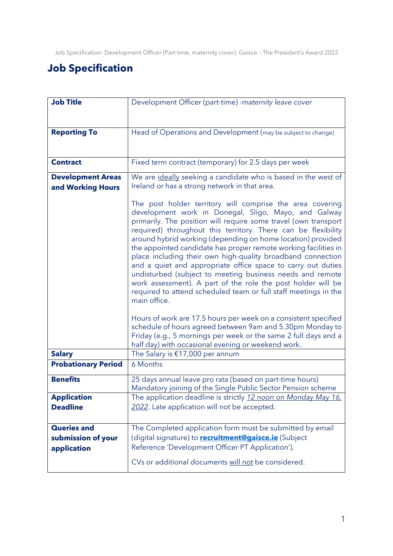# **Job Specification**

| <b>Job Title</b>                                        | Development Officer (part-time) -maternity leave cover                                                                                                                                                                                                                                                                                                                                                                                                                                                                                                                                                                                                                                                                                 |
|---------------------------------------------------------|----------------------------------------------------------------------------------------------------------------------------------------------------------------------------------------------------------------------------------------------------------------------------------------------------------------------------------------------------------------------------------------------------------------------------------------------------------------------------------------------------------------------------------------------------------------------------------------------------------------------------------------------------------------------------------------------------------------------------------------|
|                                                         |                                                                                                                                                                                                                                                                                                                                                                                                                                                                                                                                                                                                                                                                                                                                        |
| <b>Reporting To</b>                                     | Head of Operations and Development (may be subject to change)                                                                                                                                                                                                                                                                                                                                                                                                                                                                                                                                                                                                                                                                          |
| <b>Contract</b>                                         | Fixed term contract (temporary) for 2.5 days per week                                                                                                                                                                                                                                                                                                                                                                                                                                                                                                                                                                                                                                                                                  |
| <b>Development Areas</b><br>and Working Hours           | We are ideally seeking a candidate who is based in the west of<br>Ireland or has a strong network in that area.                                                                                                                                                                                                                                                                                                                                                                                                                                                                                                                                                                                                                        |
|                                                         | The post holder territory will comprise the area covering<br>development work in Donegal, Sligo, Mayo, and Galway<br>primarily. The position will require some travel (own transport<br>required) throughout this territory. There can be flexibility<br>around hybrid working (depending on home location) provided<br>the appointed candidate has proper remote working facilities in<br>place including their own high-quality broadband connection<br>and a quiet and appropriate office space to carry out duties<br>undisturbed (subject to meeting business needs and remote<br>work assessment). A part of the role the post holder will be<br>required to attend scheduled team or full staff meetings in the<br>main office. |
|                                                         | Hours of work are 17.5 hours per week on a consistent specified<br>schedule of hours agreed between 9am and 5.30pm Monday to<br>Friday (e.g., 5 mornings per week or the same 2 full days and a<br>half day) with occasional evening or weekend work.                                                                                                                                                                                                                                                                                                                                                                                                                                                                                  |
| <b>Salary</b>                                           | The Salary is €17,000 per annum                                                                                                                                                                                                                                                                                                                                                                                                                                                                                                                                                                                                                                                                                                        |
| <b>Probationary Period</b>                              | 6 Months                                                                                                                                                                                                                                                                                                                                                                                                                                                                                                                                                                                                                                                                                                                               |
| <b>Benefits</b>                                         | 25 days annual leave pro rata (based on part-time hours)<br>Mandatory joining of the Single Public Sector Pension scheme                                                                                                                                                                                                                                                                                                                                                                                                                                                                                                                                                                                                               |
| <b>Application</b><br><b>Deadline</b>                   | The application deadline is strictly 12 noon on Monday May 16.<br>2022. Late application will not be accepted.                                                                                                                                                                                                                                                                                                                                                                                                                                                                                                                                                                                                                         |
| <b>Queries and</b><br>submission of your<br>application | The Completed application form must be submitted by email<br>(digital signature) to <b>recruitment@gaisce.ie</b> (Subject<br>Reference 'Development Officer PT Application').<br>CVs or additional documents will not be considered.                                                                                                                                                                                                                                                                                                                                                                                                                                                                                                   |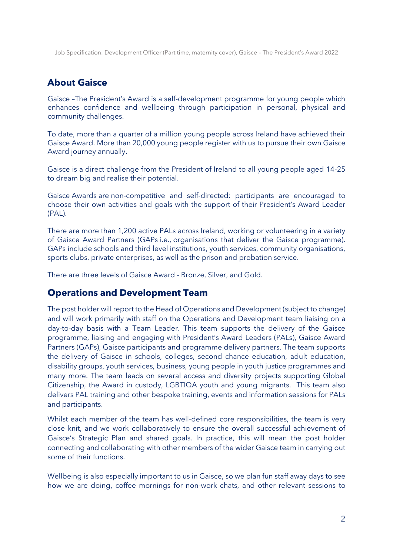## **About Gaisce**

Gaisce –The President's Award is a self-development programme for young people which enhances confidence and wellbeing through participation in personal, physical and community challenges.

To date, more than a quarter of a million young people across Ireland have achieved their Gaisce Award. More than 20,000 young people register with us to pursue their own Gaisce Award journey annually.

Gaisce is a direct challenge from the President of Ireland to all young people aged 14-25 to dream big and realise their potential.

Gaisce Awards are non-competitive and self-directed: participants are encouraged to choose their own activities and goals with the support of their President's Award Leader (PAL).

There are more than 1,200 active PALs across Ireland, working or volunteering in a variety of Gaisce Award Partners (GAPs i.e., organisations that deliver the Gaisce programme). GAPs include schools and third level institutions, youth services, community organisations, sports clubs, private enterprises, as well as the prison and probation service.

There are three levels of Gaisce Award - Bronze, Silver, and Gold.

### **Operations and Development Team**

The post holder will report to the Head of Operations and Development (subject to change) and will work primarily with staff on the Operations and Development team liaising on a day-to-day basis with a Team Leader. This team supports the delivery of the Gaisce programme, liaising and engaging with President's Award Leaders (PALs), Gaisce Award Partners (GAPs), Gaisce participants and programme delivery partners. The team supports the delivery of Gaisce in schools, colleges, second chance education, adult education, disability groups, youth services, business, young people in youth justice programmes and many more. The team leads on several access and diversity projects supporting Global Citizenship, the Award in custody, LGBTIQA youth and young migrants. This team also delivers PAL training and other bespoke training, events and information sessions for PALs and participants.

Whilst each member of the team has well-defined core responsibilities, the team is very close knit, and we work collaboratively to ensure the overall successful achievement of Gaisce's Strategic Plan and shared goals. In practice, this will mean the post holder connecting and collaborating with other members of the wider Gaisce team in carrying out some of their functions.

Wellbeing is also especially important to us in Gaisce, so we plan fun staff away days to see how we are doing, coffee mornings for non-work chats, and other relevant sessions to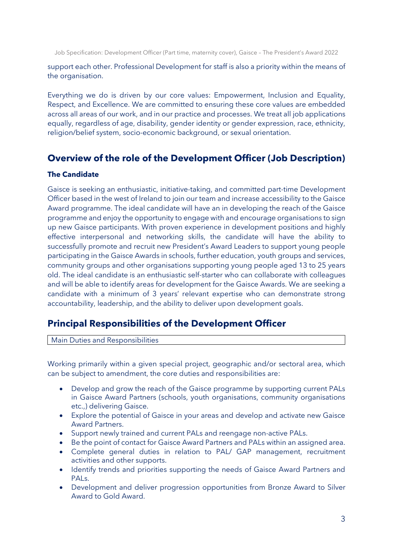support each other. Professional Development for staff is also a priority within the means of the organisation.

Everything we do is driven by our core values: Empowerment, Inclusion and Equality, Respect, and Excellence. We are committed to ensuring these core values are embedded across all areas of our work, and in our practice and processes. We treat all job applications equally, regardless of age, disability, gender identity or gender expression, race, ethnicity, religion/belief system, socio-economic background, or sexual orientation.

### **Overview of the role of the Development Officer (Job Description)**

### **The Candidate**

Gaisce is seeking an enthusiastic, initiative-taking, and committed part-time Development Officer based in the west of Ireland to join our team and increase accessibility to the Gaisce Award programme. The ideal candidate will have an in developing the reach of the Gaisce programme and enjoy the opportunity to engage with and encourage organisations to sign up new Gaisce participants. With proven experience in development positions and highly effective interpersonal and networking skills, the candidate will have the ability to successfully promote and recruit new President's Award Leaders to support young people participating in the Gaisce Awards in schools, further education, youth groups and services, community groups and other organisations supporting young people aged 13 to 25 years old. The ideal candidate is an enthusiastic self-starter who can collaborate with colleagues and will be able to identify areas for development for the Gaisce Awards. We are seeking a candidate with a minimum of 3 years' relevant expertise who can demonstrate strong accountability, leadership, and the ability to deliver upon development goals.

### **Principal Responsibilities of the Development Officer**

Main Duties and Responsibilities

Working primarily within a given special project, geographic and/or sectoral area, which can be subject to amendment, the core duties and responsibilities are:

- Develop and grow the reach of the Gaisce programme by supporting current PALs in Gaisce Award Partners (schools, youth organisations, community organisations etc.,) delivering Gaisce.
- Explore the potential of Gaisce in your areas and develop and activate new Gaisce Award Partners.
- Support newly trained and current PALs and reengage non-active PALs.
- Be the point of contact for Gaisce Award Partners and PALs within an assigned area.
- Complete general duties in relation to PAL/ GAP management, recruitment activities and other supports.
- Identify trends and priorities supporting the needs of Gaisce Award Partners and PALs.
- Development and deliver progression opportunities from Bronze Award to Silver Award to Gold Award.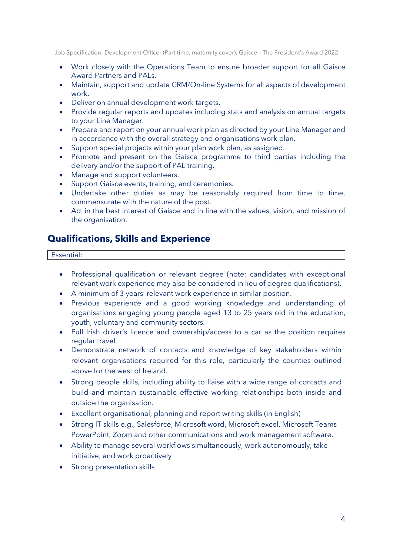- Work closely with the Operations Team to ensure broader support for all Gaisce Award Partners and PALs.
- Maintain, support and update CRM/On-line Systems for all aspects of development work.
- Deliver on annual development work targets.
- Provide regular reports and updates including stats and analysis on annual targets to your Line Manager.
- Prepare and report on your annual work plan as directed by your Line Manager and in accordance with the overall strategy and organisations work plan.
- Support special projects within your plan work plan, as assigned.
- Promote and present on the Gaisce programme to third parties including the delivery and/or the support of PAL training.
- Manage and support volunteers.
- Support Gaisce events, training, and ceremonies.
- Undertake other duties as may be reasonably required from time to time, commensurate with the nature of the post.
- Act in the best interest of Gaisce and in line with the values, vision, and mission of the organisation.

### **Qualifications, Skills and Experience**

#### Essential:

- Professional qualification or relevant degree (note: candidates with exceptional relevant work experience may also be considered in lieu of degree qualifications).
- A minimum of 3 years' relevant work experience in similar position.
- Previous experience and a good working knowledge and understanding of organisations engaging young people aged 13 to 25 years old in the education, youth, voluntary and community sectors.
- Full Irish driver's licence and ownership/access to a car as the position requires regular travel
- Demonstrate network of contacts and knowledge of key stakeholders within relevant organisations required for this role, particularly the counties outlined above for the west of Ireland.
- Strong people skills, including ability to liaise with a wide range of contacts and build and maintain sustainable effective working relationships both inside and outside the organisation.
- Excellent organisational, planning and report writing skills (in English)
- Strong IT skills e.g., Salesforce, Microsoft word, Microsoft excel, Microsoft Teams PowerPoint, Zoom and other communications and work management software.
- Ability to manage several workflows simultaneously, work autonomously, take initiative, and work proactively
- Strong presentation skills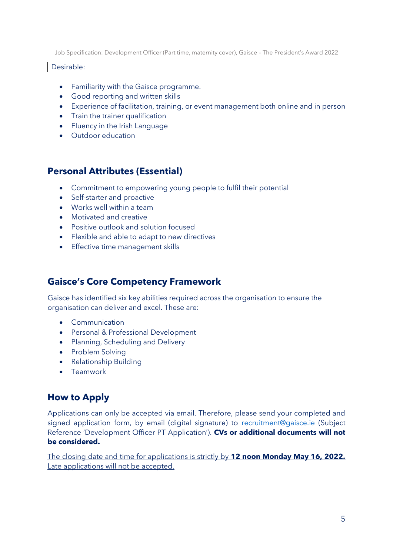#### Desirable:

- Familiarity with the Gaisce programme.
- Good reporting and written skills
- Experience of facilitation, training, or event management both online and in person
- Train the trainer qualification
- Fluency in the Irish Language
- Outdoor education

### **Personal Attributes (Essential)**

- Commitment to empowering young people to fulfil their potential
- Self-starter and proactive
- Works well within a team
- Motivated and creative
- Positive outlook and solution focused
- Flexible and able to adapt to new directives
- Effective time management skills

### **Gaisce's Core Competency Framework**

Gaisce has identified six key abilities required across the organisation to ensure the organisation can deliver and excel. These are:

- Communication
- Personal & Professional Development
- Planning, Scheduling and Delivery
- Problem Solving
- Relationship Building
- Teamwork

# **How to Apply**

Applications can only be accepted via email. Therefore, please send your completed and signed application form, by email (digital signature) to [recruitment@gaisce.ie](mailto:recruitment@gaisce.ie) (Subject Reference 'Development Officer PT Application'). **CVs or additional documents will not be considered.**

The closing date and time for applications is strictly by **12 noon Monday May 16, 2022.** Late applications will not be accepted.